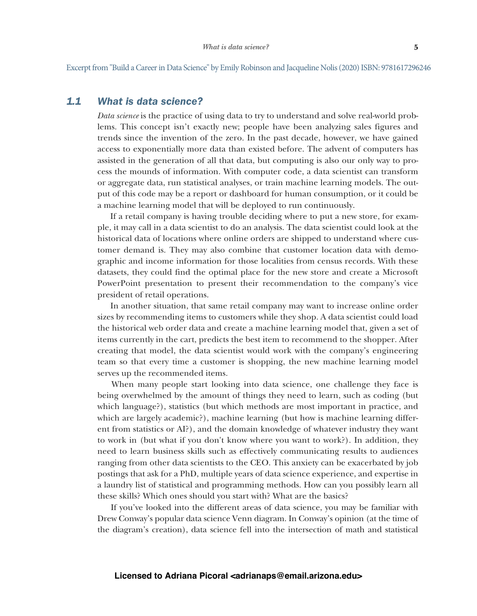Excerpt from "Build a Career in Data Science" by Emily Robinson and Jacqueline Nolis (2020) ISBN: 9781617296246

# *1.1 What is data science?*

*Data science* is the practice of using data to try to understand and solve real-world problems. This concept isn't exactly new; people have been analyzing sales figures and trends since the invention of the zero. In the past decade, however, we have gained access to exponentially more data than existed before. The advent of computers has assisted in the generation of all that data, but computing is also our only way to process the mounds of information. With computer code, a data scientist can transform or aggregate data, run statistical analyses, or train machine learning models. The output of this code may be a report or dashboard for human consumption, or it could be a machine learning model that will be deployed to run continuously.

 If a retail company is having trouble deciding where to put a new store, for example, it may call in a data scientist to do an analysis. The data scientist could look at the historical data of locations where online orders are shipped to understand where customer demand is. They may also combine that customer location data with demographic and income information for those localities from census records. With these datasets, they could find the optimal place for the new store and create a Microsoft PowerPoint presentation to present their recommendation to the company's vice president of retail operations.

 In another situation, that same retail company may want to increase online order sizes by recommending items to customers while they shop. A data scientist could load the historical web order data and create a machine learning model that, given a set of items currently in the cart, predicts the best item to recommend to the shopper. After creating that model, the data scientist would work with the company's engineering team so that every time a customer is shopping, the new machine learning model serves up the recommended items.

 When many people start looking into data science, one challenge they face is being overwhelmed by the amount of things they need to learn, such as coding (but which language?), statistics (but which methods are most important in practice, and which are largely academic?), machine learning (but how is machine learning different from statistics or AI?), and the domain knowledge of whatever industry they want to work in (but what if you don't know where you want to work?). In addition, they need to learn business skills such as effectively communicating results to audiences ranging from other data scientists to the CEO. This anxiety can be exacerbated by job postings that ask for a PhD, multiple years of data science experience, and expertise in a laundry list of statistical and programming methods. How can you possibly learn all these skills? Which ones should you start with? What are the basics?

 If you've looked into the different areas of data science, you may be familiar with Drew Conway's popular data science Venn diagram. In Conway's opinion (at the time of the diagram's creation), data science fell into the intersection of math and statistical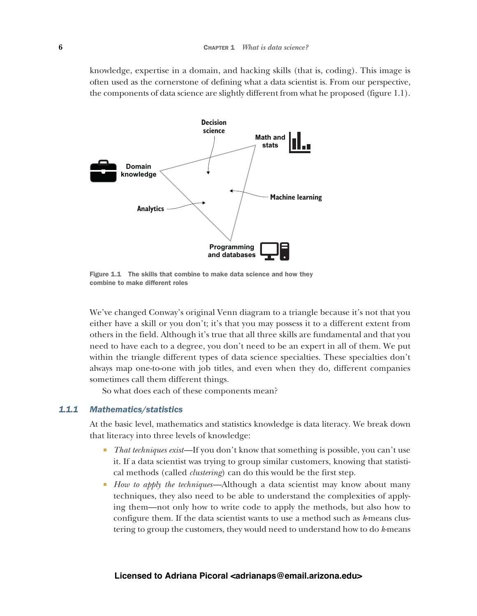knowledge, expertise in a domain, and hacking skills (that is, coding). This image is often used as the cornerstone of defining what a data scientist is. From our perspective, the components of data science are slightly different from what he proposed (figure 1.1).



Figure 1.1 The skills that combine to make data science and how they combine to make different roles

We've changed Conway's original Venn diagram to a triangle because it's not that you either have a skill or you don't; it's that you may possess it to a different extent from others in the field. Although it's true that all three skills are fundamental and that you need to have each to a degree, you don't need to be an expert in all of them. We put within the triangle different types of data science specialties. These specialties don't always map one-to-one with job titles, and even when they do, different companies sometimes call them different things.

So what does each of these components mean?

### *1.1.1 Mathematics/statistics*

At the basic level, mathematics and statistics knowledge is data literacy. We break down that literacy into three levels of knowledge:

- *That techniques exist*—If you don't know that something is possible, you can't use it. If a data scientist was trying to group similar customers, knowing that statistical methods (called *clustering*) can do this would be the first step.
- *How to apply the techniques*—Although a data scientist may know about many techniques, they also need to be able to understand the complexities of applying them—not only how to write code to apply the methods, but also how to configure them. If the data scientist wants to use a method such as *k*-means clustering to group the customers, they would need to understand how to do *k*-means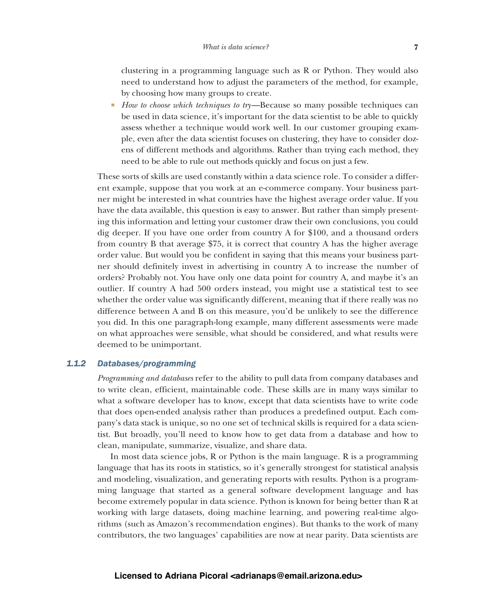clustering in a programming language such as R or Python. They would also need to understand how to adjust the parameters of the method, for example, by choosing how many groups to create.

■ *How to choose which techniques to try*—Because so many possible techniques can be used in data science, it's important for the data scientist to be able to quickly assess whether a technique would work well. In our customer grouping example, even after the data scientist focuses on clustering, they have to consider dozens of different methods and algorithms. Rather than trying each method, they need to be able to rule out methods quickly and focus on just a few.

These sorts of skills are used constantly within a data science role. To consider a different example, suppose that you work at an e-commerce company. Your business partner might be interested in what countries have the highest average order value. If you have the data available, this question is easy to answer. But rather than simply presenting this information and letting your customer draw their own conclusions, you could dig deeper. If you have one order from country A for \$100, and a thousand orders from country B that average \$75, it is correct that country A has the higher average order value. But would you be confident in saying that this means your business partner should definitely invest in advertising in country A to increase the number of orders? Probably not. You have only one data point for country A, and maybe it's an outlier. If country A had 500 orders instead, you might use a statistical test to see whether the order value was significantly different, meaning that if there really was no difference between A and B on this measure, you'd be unlikely to see the difference you did. In this one paragraph-long example, many different assessments were made on what approaches were sensible, what should be considered, and what results were deemed to be unimportant.

#### *1.1.2 Databases/programming*

*Programming and databases* refer to the ability to pull data from company databases and to write clean, efficient, maintainable code. These skills are in many ways similar to what a software developer has to know, except that data scientists have to write code that does open-ended analysis rather than produces a predefined output. Each company's data stack is unique, so no one set of technical skills is required for a data scientist. But broadly, you'll need to know how to get data from a database and how to clean, manipulate, summarize, visualize, and share data.

 In most data science jobs, R or Python is the main language. R is a programming language that has its roots in statistics, so it's generally strongest for statistical analysis and modeling, visualization, and generating reports with results. Python is a programming language that started as a general software development language and has become extremely popular in data science. Python is known for being better than R at working with large datasets, doing machine learning, and powering real-time algorithms (such as Amazon's recommendation engines). But thanks to the work of many contributors, the two languages' capabilities are now at near parity. Data scientists are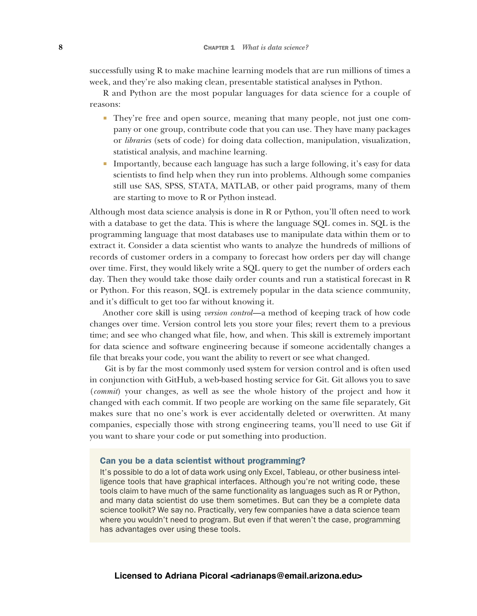successfully using R to make machine learning models that are run millions of times a week, and they're also making clean, presentable statistical analyses in Python.

 R and Python are the most popular languages for data science for a couple of reasons:

- They're free and open source, meaning that many people, not just one company or one group, contribute code that you can use. They have many packages or *libraries* (sets of code) for doing data collection, manipulation, visualization, statistical analysis, and machine learning.
- Importantly, because each language has such a large following, it's easy for data scientists to find help when they run into problems. Although some companies still use SAS, SPSS, STATA, MATLAB, or other paid programs, many of them are starting to move to R or Python instead.

Although most data science analysis is done in R or Python, you'll often need to work with a database to get the data. This is where the language SQL comes in. SQL is the programming language that most databases use to manipulate data within them or to extract it. Consider a data scientist who wants to analyze the hundreds of millions of records of customer orders in a company to forecast how orders per day will change over time. First, they would likely write a SQL query to get the number of orders each day. Then they would take those daily order counts and run a statistical forecast in R or Python. For this reason, SQL is extremely popular in the data science community, and it's difficult to get too far without knowing it.

 Another core skill is using *version control*—a method of keeping track of how code changes over time. Version control lets you store your files; revert them to a previous time; and see who changed what file, how, and when. This skill is extremely important for data science and software engineering because if someone accidentally changes a file that breaks your code, you want the ability to revert or see what changed.

 Git is by far the most commonly used system for version control and is often used in conjunction with GitHub, a web-based hosting service for Git. Git allows you to save (*commit*) your changes, as well as see the whole history of the project and how it changed with each commit. If two people are working on the same file separately, Git makes sure that no one's work is ever accidentally deleted or overwritten. At many companies, especially those with strong engineering teams, you'll need to use Git if you want to share your code or put something into production.

### Can you be a data scientist without programming?

It's possible to do a lot of data work using only Excel, Tableau, or other business intelligence tools that have graphical interfaces. Although you're not writing code, these tools claim to have much of the same functionality as languages such as R or Python, and many data scientist do use them sometimes. But can they be a complete data science toolkit? We say no. Practically, very few companies have a data science team where you wouldn't need to program. But even if that weren't the case, programming has advantages over using these tools.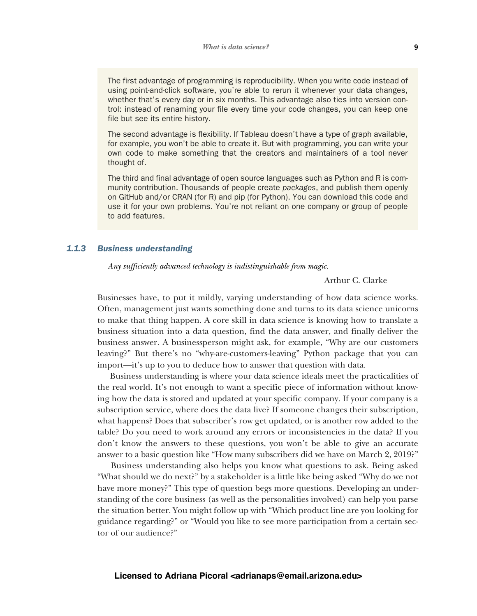The first advantage of programming is reproducibility. When you write code instead of using point-and-click software, you're able to rerun it whenever your data changes, whether that's every day or in six months. This advantage also ties into version control: instead of renaming your file every time your code changes, you can keep one file but see its entire history.

The second advantage is flexibility. If Tableau doesn't have a type of graph available, for example, you won't be able to create it. But with programming, you can write your own code to make something that the creators and maintainers of a tool never thought of.

The third and final advantage of open source languages such as Python and R is community contribution. Thousands of people create *packages*, and publish them openly on GitHub and/or CRAN (for R) and pip (for Python). You can download this code and use it for your own problems. You're not reliant on one company or group of people to add features.

## *1.1.3 Business understanding*

*Any sufficiently advanced technology is indistinguishable from magic.*

## Arthur C. Clarke

Businesses have, to put it mildly, varying understanding of how data science works. Often, management just wants something done and turns to its data science unicorns to make that thing happen. A core skill in data science is knowing how to translate a business situation into a data question, find the data answer, and finally deliver the business answer. A businessperson might ask, for example, "Why are our customers leaving?" But there's no "why-are-customers-leaving" Python package that you can import—it's up to you to deduce how to answer that question with data.

 Business understanding is where your data science ideals meet the practicalities of the real world. It's not enough to want a specific piece of information without knowing how the data is stored and updated at your specific company. If your company is a subscription service, where does the data live? If someone changes their subscription, what happens? Does that subscriber's row get updated, or is another row added to the table? Do you need to work around any errors or inconsistencies in the data? If you don't know the answers to these questions, you won't be able to give an accurate answer to a basic question like "How many subscribers did we have on March 2, 2019?"

 Business understanding also helps you know what questions to ask. Being asked "What should we do next?" by a stakeholder is a little like being asked "Why do we not have more money?" This type of question begs more questions. Developing an understanding of the core business (as well as the personalities involved) can help you parse the situation better. You might follow up with "Which product line are you looking for guidance regarding?" or "Would you like to see more participation from a certain sector of our audience?"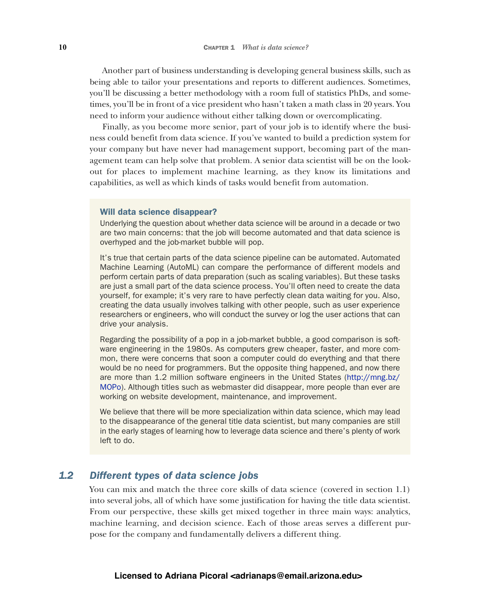Another part of business understanding is developing general business skills, such as being able to tailor your presentations and reports to different audiences. Sometimes, you'll be discussing a better methodology with a room full of statistics PhDs, and sometimes, you'll be in front of a vice president who hasn't taken a math class in 20 years. You need to inform your audience without either talking down or overcomplicating.

 Finally, as you become more senior, part of your job is to identify where the business could benefit from data science. If you've wanted to build a prediction system for your company but have never had management support, becoming part of the management team can help solve that problem. A senior data scientist will be on the lookout for places to implement machine learning, as they know its limitations and capabilities, as well as which kinds of tasks would benefit from automation.

#### Will data science disappear?

Underlying the question about whether data science will be around in a decade or two are two main concerns: that the job will become automated and that data science is overhyped and the job-market bubble will pop.

It's true that certain parts of the data science pipeline can be automated. Automated Machine Learning (AutoML) can compare the performance of different models and perform certain parts of data preparation (such as scaling variables). But these tasks are just a small part of the data science process. You'll often need to create the data yourself, for example; it's very rare to have perfectly clean data waiting for you. Also, creating the data usually involves talking with other people, such as user experience researchers or engineers, who will conduct the survey or log the user actions that can drive your analysis.

Regarding the possibility of a pop in a job-market bubble, a good comparison is software engineering in the 1980s. As computers grew cheaper, faster, and more common, there were concerns that soon a computer could do everything and that there would be no need for programmers. But the opposite thing happened, and now there are more than 1.2 million software engineers in the United States (http://mng.bz/ MOPo). Although titles such as webmaster did disappear, more people than ever are working on website development, maintenance, and improvement.

We believe that there will be more specialization within data science, which may lead to the disappearance of the general title data scientist, but many companies are still in the early stages of learning how to leverage data science and there's plenty of work left to do.

# *1.2 Different types of data science jobs*

You can mix and match the three core skills of data science (covered in section 1.1) into several jobs, all of which have some justification for having the title data scientist. From our perspective, these skills get mixed together in three main ways: analytics, machine learning, and decision science. Each of those areas serves a different purpose for the company and fundamentally delivers a different thing.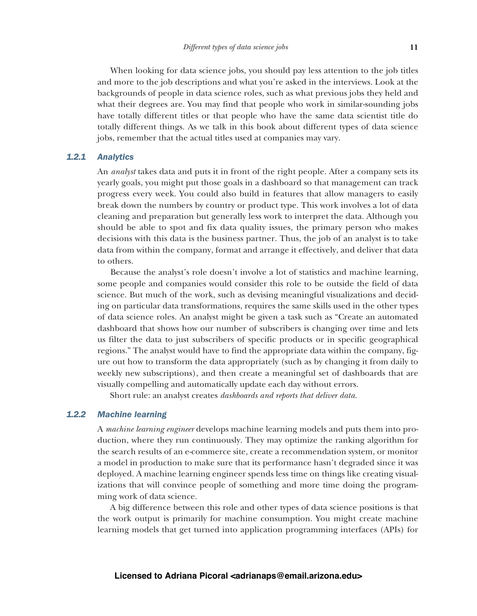When looking for data science jobs, you should pay less attention to the job titles and more to the job descriptions and what you're asked in the interviews. Look at the backgrounds of people in data science roles, such as what previous jobs they held and what their degrees are. You may find that people who work in similar-sounding jobs have totally different titles or that people who have the same data scientist title do totally different things. As we talk in this book about different types of data science jobs, remember that the actual titles used at companies may vary.

#### *1.2.1 Analytics*

An *analyst* takes data and puts it in front of the right people. After a company sets its yearly goals, you might put those goals in a dashboard so that management can track progress every week. You could also build in features that allow managers to easily break down the numbers by country or product type. This work involves a lot of data cleaning and preparation but generally less work to interpret the data. Although you should be able to spot and fix data quality issues, the primary person who makes decisions with this data is the business partner. Thus, the job of an analyst is to take data from within the company, format and arrange it effectively, and deliver that data to others.

 Because the analyst's role doesn't involve a lot of statistics and machine learning, some people and companies would consider this role to be outside the field of data science. But much of the work, such as devising meaningful visualizations and deciding on particular data transformations, requires the same skills used in the other types of data science roles. An analyst might be given a task such as "Create an automated dashboard that shows how our number of subscribers is changing over time and lets us filter the data to just subscribers of specific products or in specific geographical regions." The analyst would have to find the appropriate data within the company, figure out how to transform the data appropriately (such as by changing it from daily to weekly new subscriptions), and then create a meaningful set of dashboards that are visually compelling and automatically update each day without errors.

Short rule: an analyst creates *dashboards and reports that deliver data.*

## *1.2.2 Machine learning*

A *machine learning engineer* develops machine learning models and puts them into production, where they run continuously. They may optimize the ranking algorithm for the search results of an e-commerce site, create a recommendation system, or monitor a model in production to make sure that its performance hasn't degraded since it was deployed. A machine learning engineer spends less time on things like creating visualizations that will convince people of something and more time doing the programming work of data science.

 A big difference between this role and other types of data science positions is that the work output is primarily for machine consumption. You might create machine learning models that get turned into application programming interfaces (APIs) for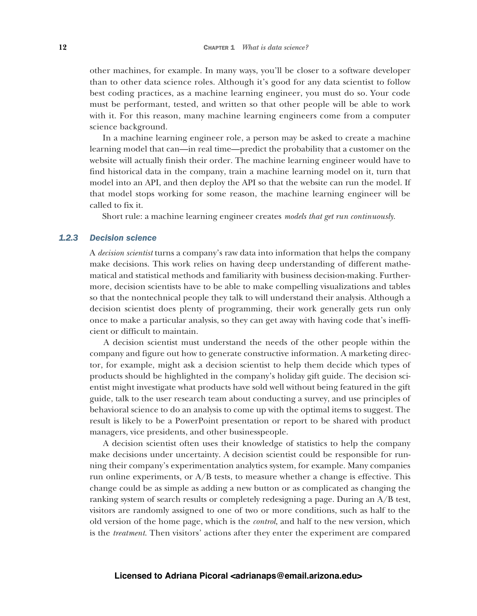other machines, for example. In many ways, you'll be closer to a software developer than to other data science roles. Although it's good for any data scientist to follow best coding practices, as a machine learning engineer, you must do so. Your code must be performant, tested, and written so that other people will be able to work with it. For this reason, many machine learning engineers come from a computer science background.

 In a machine learning engineer role, a person may be asked to create a machine learning model that can—in real time—predict the probability that a customer on the website will actually finish their order. The machine learning engineer would have to find historical data in the company, train a machine learning model on it, turn that model into an API, and then deploy the API so that the website can run the model. If that model stops working for some reason, the machine learning engineer will be called to fix it.

Short rule: a machine learning engineer creates *models that get run continuously.*

## *1.2.3 Decision science*

A *decision scientist* turns a company's raw data into information that helps the company make decisions. This work relies on having deep understanding of different mathematical and statistical methods and familiarity with business decision-making. Furthermore, decision scientists have to be able to make compelling visualizations and tables so that the nontechnical people they talk to will understand their analysis. Although a decision scientist does plenty of programming, their work generally gets run only once to make a particular analysis, so they can get away with having code that's inefficient or difficult to maintain.

 A decision scientist must understand the needs of the other people within the company and figure out how to generate constructive information. A marketing director, for example, might ask a decision scientist to help them decide which types of products should be highlighted in the company's holiday gift guide. The decision scientist might investigate what products have sold well without being featured in the gift guide, talk to the user research team about conducting a survey, and use principles of behavioral science to do an analysis to come up with the optimal items to suggest. The result is likely to be a PowerPoint presentation or report to be shared with product managers, vice presidents, and other businesspeople.

 A decision scientist often uses their knowledge of statistics to help the company make decisions under uncertainty. A decision scientist could be responsible for running their company's experimentation analytics system, for example. Many companies run online experiments, or  $A/B$  tests, to measure whether a change is effective. This change could be as simple as adding a new button or as complicated as changing the ranking system of search results or completely redesigning a page. During an A/B test, visitors are randomly assigned to one of two or more conditions, such as half to the old version of the home page, which is the *control*, and half to the new version, which is the *treatment*. Then visitors' actions after they enter the experiment are compared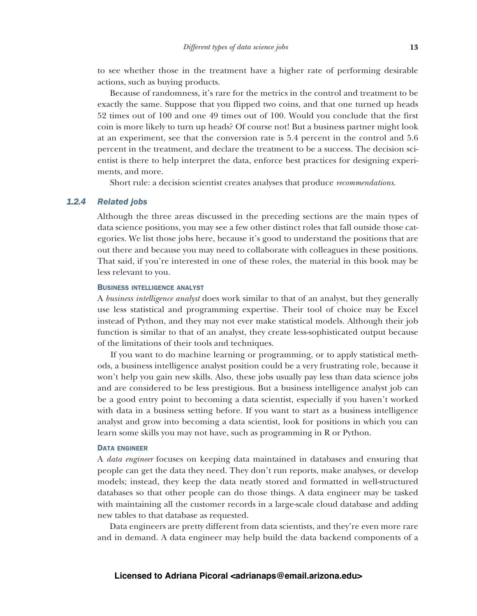to see whether those in the treatment have a higher rate of performing desirable actions, such as buying products.

 Because of randomness, it's rare for the metrics in the control and treatment to be exactly the same. Suppose that you flipped two coins, and that one turned up heads 52 times out of 100 and one 49 times out of 100. Would you conclude that the first coin is more likely to turn up heads? Of course not! But a business partner might look at an experiment, see that the conversion rate is 5.4 percent in the control and 5.6 percent in the treatment, and declare the treatment to be a success. The decision scientist is there to help interpret the data, enforce best practices for designing experiments, and more.

Short rule: a decision scientist creates analyses that produce *recommendations*.

### *1.2.4 Related jobs*

Although the three areas discussed in the preceding sections are the main types of data science positions, you may see a few other distinct roles that fall outside those categories. We list those jobs here, because it's good to understand the positions that are out there and because you may need to collaborate with colleagues in these positions. That said, if you're interested in one of these roles, the material in this book may be less relevant to you.

#### BUSINESS INTELLIGENCE ANALYST

A *business intelligence analyst* does work similar to that of an analyst, but they generally use less statistical and programming expertise. Their tool of choice may be Excel instead of Python, and they may not ever make statistical models. Although their job function is similar to that of an analyst, they create less-sophisticated output because of the limitations of their tools and techniques.

 If you want to do machine learning or programming, or to apply statistical methods, a business intelligence analyst position could be a very frustrating role, because it won't help you gain new skills. Also, these jobs usually pay less than data science jobs and are considered to be less prestigious. But a business intelligence analyst job can be a good entry point to becoming a data scientist, especially if you haven't worked with data in a business setting before. If you want to start as a business intelligence analyst and grow into becoming a data scientist, look for positions in which you can learn some skills you may not have, such as programming in R or Python.

#### DATA ENGINEER

A *data engineer* focuses on keeping data maintained in databases and ensuring that people can get the data they need. They don't run reports, make analyses, or develop models; instead, they keep the data neatly stored and formatted in well-structured databases so that other people can do those things. A data engineer may be tasked with maintaining all the customer records in a large-scale cloud database and adding new tables to that database as requested.

 Data engineers are pretty different from data scientists, and they're even more rare and in demand. A data engineer may help build the data backend components of a